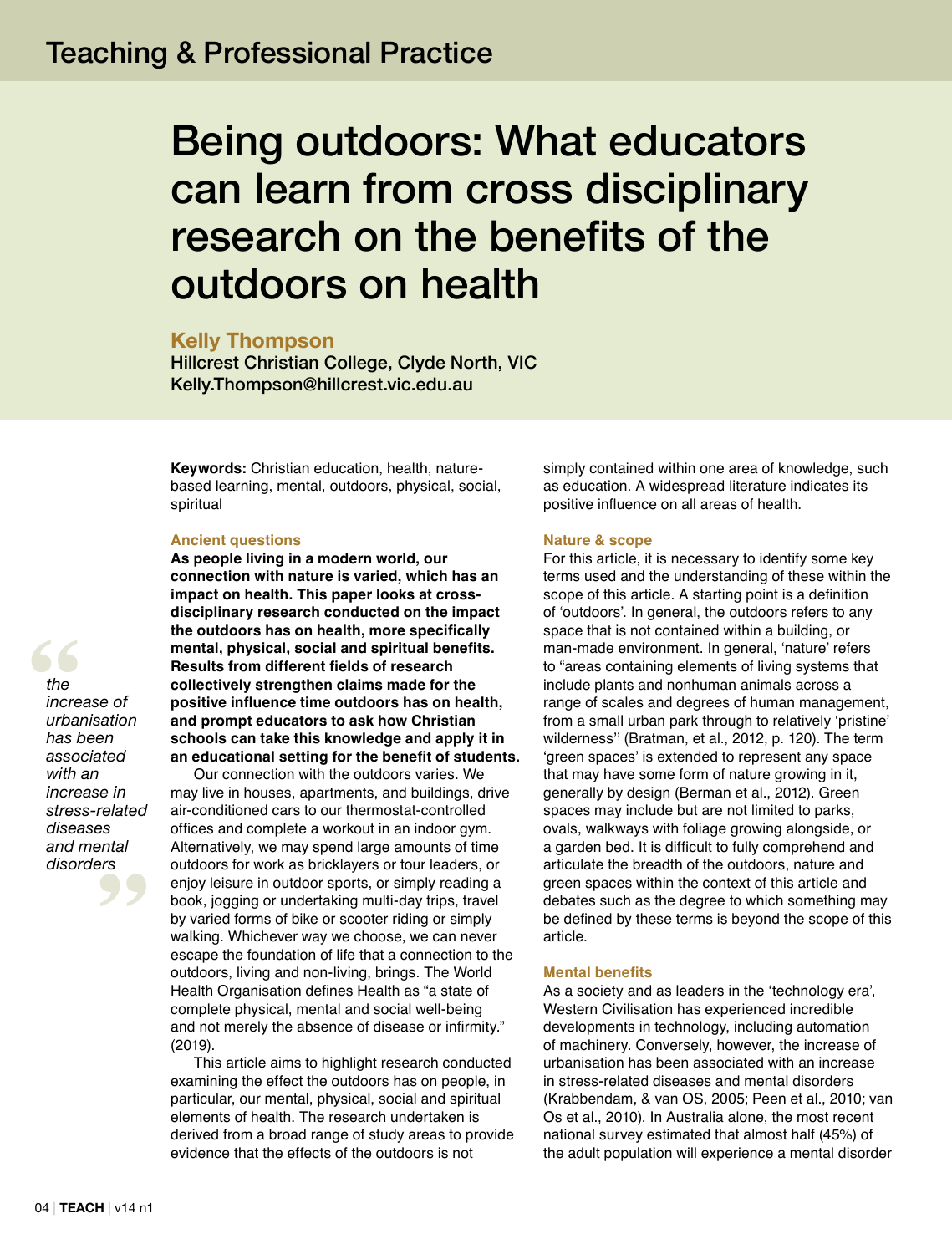# Being outdoors: What educators can learn from cross disciplinary research on the benefits of the outdoors on health

## **Kelly Thompson**

Hillcrest Christian College, Clyde North, VIC Kelly.Thompson@hillcrest.vic.edu.au

**Keywords:** Christian education, health, naturebased learning, mental, outdoors, physical, social, spiritual

#### **Ancient questions**

**As people living in a modern world, our connection with nature is varied, which has an impact on health. This paper looks at crossdisciplinary research conducted on the impact the outdoors has on health, more specifically mental, physical, social and spiritual benefits. Results from different fields of research collectively strengthen claims made for the positive influence time outdoors has on health, and prompt educators to ask how Christian schools can take this knowledge and apply it in an educational setting for the benefit of students.** 

Our connection with the outdoors varies. We may live in houses, apartments, and buildings, drive air-conditioned cars to our thermostat-controlled offices and complete a workout in an indoor gym. Alternatively, we may spend large amounts of time outdoors for work as bricklayers or tour leaders, or enjoy leisure in outdoor sports, or simply reading a book, jogging or undertaking multi-day trips, travel by varied forms of bike or scooter riding or simply walking. Whichever way we choose, we can never escape the foundation of life that a connection to the outdoors, living and non-living, brings. The World Health Organisation defines Health as "a state of complete physical, mental and social well-being and not merely the absence of disease or infirmity." (2019).

This article aims to highlight research conducted examining the effect the outdoors has on people, in particular, our mental, physical, social and spiritual elements of health. The research undertaken is derived from a broad range of study areas to provide evidence that the effects of the outdoors is not

simply contained within one area of knowledge, such as education. A widespread literature indicates its positive influence on all areas of health.

#### **Nature & scope**

For this article, it is necessary to identify some key terms used and the understanding of these within the scope of this article. A starting point is a definition of 'outdoors'. In general, the outdoors refers to any space that is not contained within a building, or man-made environment. In general, 'nature' refers to "areas containing elements of living systems that include plants and nonhuman animals across a range of scales and degrees of human management, from a small urban park through to relatively 'pristine' wilderness'' (Bratman, et al., 2012, p. 120). The term 'green spaces' is extended to represent any space that may have some form of nature growing in it, generally by design (Berman et al., 2012). Green spaces may include but are not limited to parks, ovals, walkways with foliage growing alongside, or a garden bed. It is difficult to fully comprehend and articulate the breadth of the outdoors, nature and green spaces within the context of this article and debates such as the degree to which something may be defined by these terms is beyond the scope of this article.

## **Mental benefits**

As a society and as leaders in the 'technology era', Western Civilisation has experienced incredible developments in technology, including automation of machinery. Conversely, however, the increase of urbanisation has been associated with an increase in stress-related diseases and mental disorders (Krabbendam, & van OS, 2005; Peen et al., 2010; van Os et al., 2010). In Australia alone, the most recent national survey estimated that almost half (45%) of the adult population will experience a mental disorder

**Example 12**<br> *the* increased in the unband **ers** *the increase of urbanisation has been associated with an increase in stress-related diseases and mental disorders*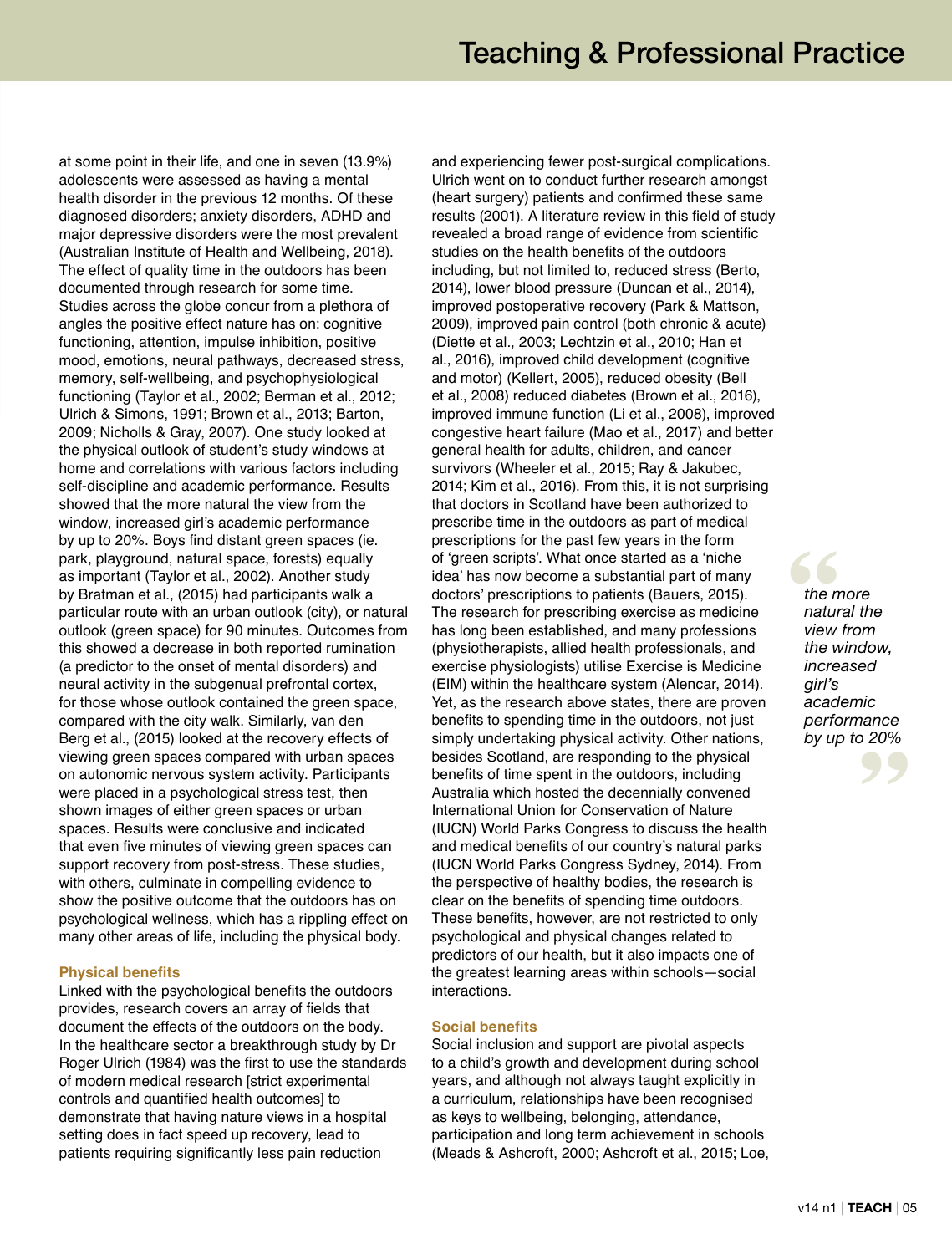at some point in their life, and one in seven (13.9%) adolescents were assessed as having a mental health disorder in the previous 12 months. Of these diagnosed disorders; anxiety disorders, ADHD and major depressive disorders were the most prevalent (Australian Institute of Health and Wellbeing, 2018). The effect of quality time in the outdoors has been documented through research for some time. Studies across the globe concur from a plethora of angles the positive effect nature has on: cognitive functioning, attention, impulse inhibition, positive mood, emotions, neural pathways, decreased stress, memory, self-wellbeing, and psychophysiological functioning (Taylor et al., 2002; Berman et al., 2012; Ulrich & Simons, 1991; Brown et al., 2013; Barton, 2009; Nicholls & Gray, 2007). One study looked at the physical outlook of student's study windows at home and correlations with various factors including self-discipline and academic performance. Results showed that the more natural the view from the window, increased girl's academic performance by up to 20%. Boys find distant green spaces (ie. park, playground, natural space, forests) equally as important (Taylor et al., 2002). Another study by Bratman et al., (2015) had participants walk a particular route with an urban outlook (city), or natural outlook (green space) for 90 minutes. Outcomes from this showed a decrease in both reported rumination (a predictor to the onset of mental disorders) and neural activity in the subgenual prefrontal cortex, for those whose outlook contained the green space, compared with the city walk. Similarly, van den Berg et al., (2015) looked at the recovery effects of viewing green spaces compared with urban spaces on autonomic nervous system activity. Participants were placed in a psychological stress test, then shown images of either green spaces or urban spaces. Results were conclusive and indicated that even five minutes of viewing green spaces can support recovery from post-stress. These studies, with others, culminate in compelling evidence to show the positive outcome that the outdoors has on psychological wellness, which has a rippling effect on many other areas of life, including the physical body.

## **Physical benefits**

Linked with the psychological benefits the outdoors provides, research covers an array of fields that document the effects of the outdoors on the body. In the healthcare sector a breakthrough study by Dr Roger Ulrich (1984) was the first to use the standards of modern medical research [strict experimental controls and quantified health outcomes] to demonstrate that having nature views in a hospital setting does in fact speed up recovery, lead to patients requiring significantly less pain reduction

and experiencing fewer post-surgical complications. Ulrich went on to conduct further research amongst (heart surgery) patients and confirmed these same results (2001). A literature review in this field of study revealed a broad range of evidence from scientific studies on the health benefits of the outdoors including, but not limited to, reduced stress (Berto, 2014), lower blood pressure (Duncan et al., 2014), improved postoperative recovery (Park & Mattson, 2009), improved pain control (both chronic & acute) (Diette et al., 2003; Lechtzin et al., 2010; Han et al., 2016), improved child development (cognitive and motor) (Kellert, 2005), reduced obesity (Bell et al., 2008) reduced diabetes (Brown et al., 2016), improved immune function (Li et al., 2008), improved congestive heart failure (Mao et al., 2017) and better general health for adults, children, and cancer survivors (Wheeler et al., 2015; Ray & Jakubec, 2014; Kim et al., 2016). From this, it is not surprising that doctors in Scotland have been authorized to prescribe time in the outdoors as part of medical prescriptions for the past few years in the form of 'green scripts'. What once started as a 'niche idea' has now become a substantial part of many doctors' prescriptions to patients (Bauers, 2015). The research for prescribing exercise as medicine has long been established, and many professions (physiotherapists, allied health professionals, and exercise physiologists) utilise Exercise is Medicine (EIM) within the healthcare system (Alencar, 2014). Yet, as the research above states, there are proven benefits to spending time in the outdoors, not just simply undertaking physical activity. Other nations, besides Scotland, are responding to the physical benefits of time spent in the outdoors, including Australia which hosted the decennially convened International Union for Conservation of Nature (IUCN) World Parks Congress to discuss the health and medical benefits of our country's natural parks (IUCN World Parks Congress Sydney, 2014). From the perspective of healthy bodies, the research is clear on the benefits of spending time outdoors. These benefits, however, are not restricted to only psychological and physical changes related to predictors of our health, but it also impacts one of the greatest learning areas within schools—social interactions.

## **Social benefits**

Social inclusion and support are pivotal aspects to a child's growth and development during school years, and although not always taught explicitly in a curriculum, relationships have been recognised as keys to wellbeing, belonging, attendance, participation and long term achievement in schools (Meads & Ashcroft, 2000; Ashcroft et al., 2015; Loe, **the m**<br> **natur**<br> **view "** *by up to 20% the more natural the view from the window, increased girl's academic performance*

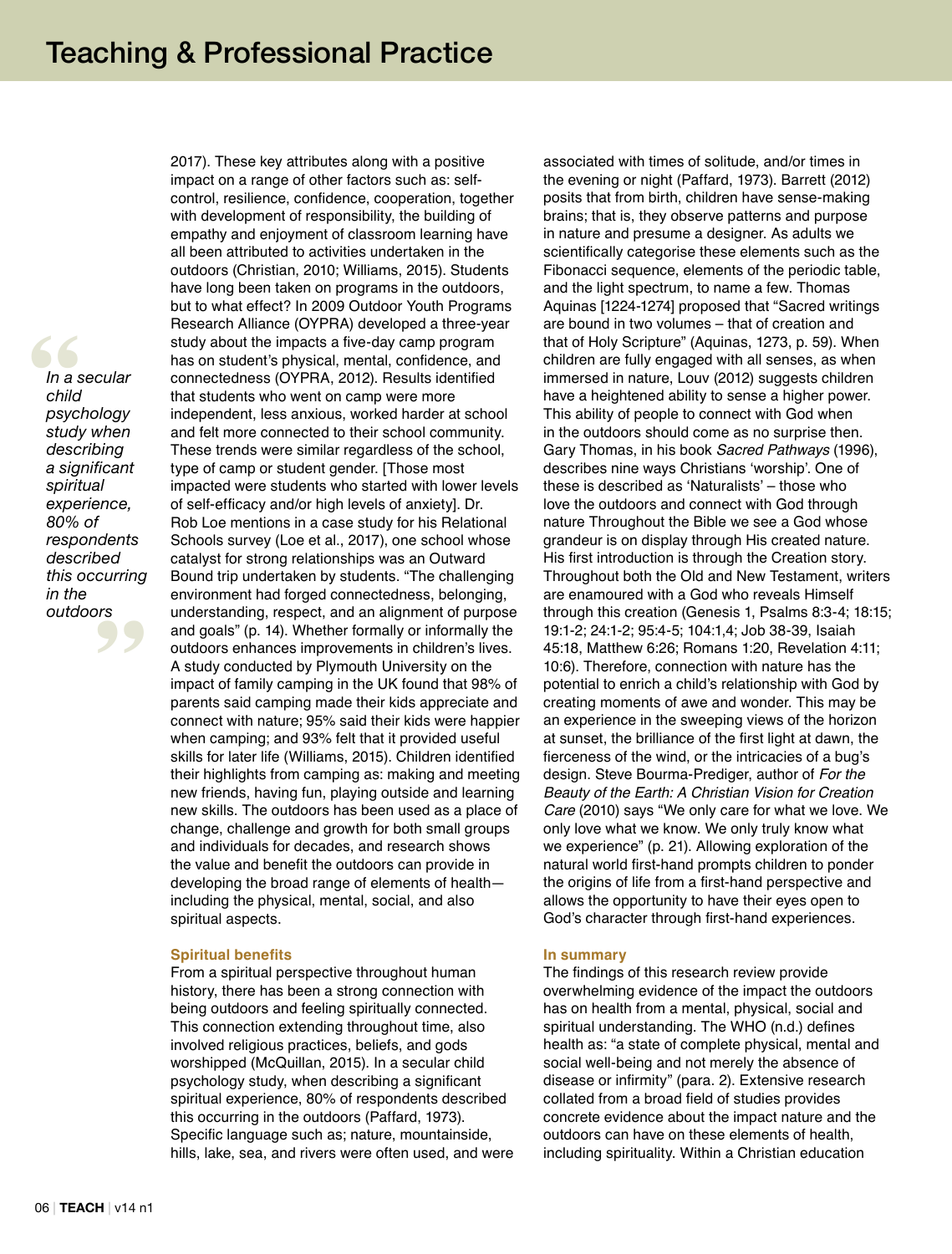**"** *psychology*  **"** *In a secular child study when describing a significant spiritual experience, 80% of respondents described this occurring in the outdoors*

2017). These key attributes along with a positive impact on a range of other factors such as: selfcontrol, resilience, confidence, cooperation, together with development of responsibility, the building of empathy and enjoyment of classroom learning have all been attributed to activities undertaken in the outdoors (Christian, 2010; Williams, 2015). Students have long been taken on programs in the outdoors, but to what effect? In 2009 Outdoor Youth Programs Research Alliance (OYPRA) developed a three-year study about the impacts a five-day camp program has on student's physical, mental, confidence, and connectedness (OYPRA, 2012). Results identified that students who went on camp were more independent, less anxious, worked harder at school and felt more connected to their school community. These trends were similar regardless of the school, type of camp or student gender. [Those most impacted were students who started with lower levels of self-efficacy and/or high levels of anxiety]. Dr. Rob Loe mentions in a case study for his Relational Schools survey (Loe et al., 2017), one school whose catalyst for strong relationships was an Outward Bound trip undertaken by students. "The challenging environment had forged connectedness, belonging, understanding, respect, and an alignment of purpose and goals" (p. 14). Whether formally or informally the outdoors enhances improvements in children's lives. A study conducted by Plymouth University on the impact of family camping in the UK found that 98% of parents said camping made their kids appreciate and connect with nature; 95% said their kids were happier when camping; and 93% felt that it provided useful skills for later life (Williams, 2015). Children identified their highlights from camping as: making and meeting new friends, having fun, playing outside and learning new skills. The outdoors has been used as a place of change, challenge and growth for both small groups and individuals for decades, and research shows the value and benefit the outdoors can provide in developing the broad range of elements of health including the physical, mental, social, and also spiritual aspects.

#### **Spiritual benefits**

From a spiritual perspective throughout human history, there has been a strong connection with being outdoors and feeling spiritually connected. This connection extending throughout time, also involved religious practices, beliefs, and gods worshipped (McQuillan, 2015). In a secular child psychology study, when describing a significant spiritual experience, 80% of respondents described this occurring in the outdoors (Paffard, 1973). Specific language such as; nature, mountainside, hills, lake, sea, and rivers were often used, and were associated with times of solitude, and/or times in the evening or night (Paffard, 1973). Barrett (2012) posits that from birth, children have sense-making brains; that is, they observe patterns and purpose in nature and presume a designer. As adults we scientifically categorise these elements such as the Fibonacci sequence, elements of the periodic table, and the light spectrum, to name a few. Thomas Aquinas [1224-1274] proposed that "Sacred writings are bound in two volumes – that of creation and that of Holy Scripture" (Aquinas, 1273, p. 59). When children are fully engaged with all senses, as when immersed in nature, Louv (2012) suggests children have a heightened ability to sense a higher power. This ability of people to connect with God when in the outdoors should come as no surprise then. Gary Thomas, in his book *Sacred Pathways* (1996), describes nine ways Christians 'worship'. One of these is described as 'Naturalists' – those who love the outdoors and connect with God through nature Throughout the Bible we see a God whose grandeur is on display through His created nature. His first introduction is through the Creation story. Throughout both the Old and New Testament, writers are enamoured with a God who reveals Himself through this creation (Genesis 1, Psalms 8:3-4; 18:15; 19:1-2; 24:1-2; 95:4-5; 104:1,4; Job 38-39, Isaiah 45:18, Matthew 6:26; Romans 1:20, Revelation 4:11; 10:6). Therefore, connection with nature has the potential to enrich a child's relationship with God by creating moments of awe and wonder. This may be an experience in the sweeping views of the horizon at sunset, the brilliance of the first light at dawn, the fierceness of the wind, or the intricacies of a bug's design. Steve Bourma-Prediger, author of *For the Beauty of the Earth: A Christian Vision for Creation Care* (2010) says "We only care for what we love. We only love what we know. We only truly know what we experience" (p. 21). Allowing exploration of the natural world first-hand prompts children to ponder the origins of life from a first-hand perspective and allows the opportunity to have their eyes open to God's character through first-hand experiences.

#### **In summary**

The findings of this research review provide overwhelming evidence of the impact the outdoors has on health from a mental, physical, social and spiritual understanding. The WHO (n.d.) defines health as: "a state of complete physical, mental and social well-being and not merely the absence of disease or infirmity" (para. 2). Extensive research collated from a broad field of studies provides concrete evidence about the impact nature and the outdoors can have on these elements of health, including spirituality. Within a Christian education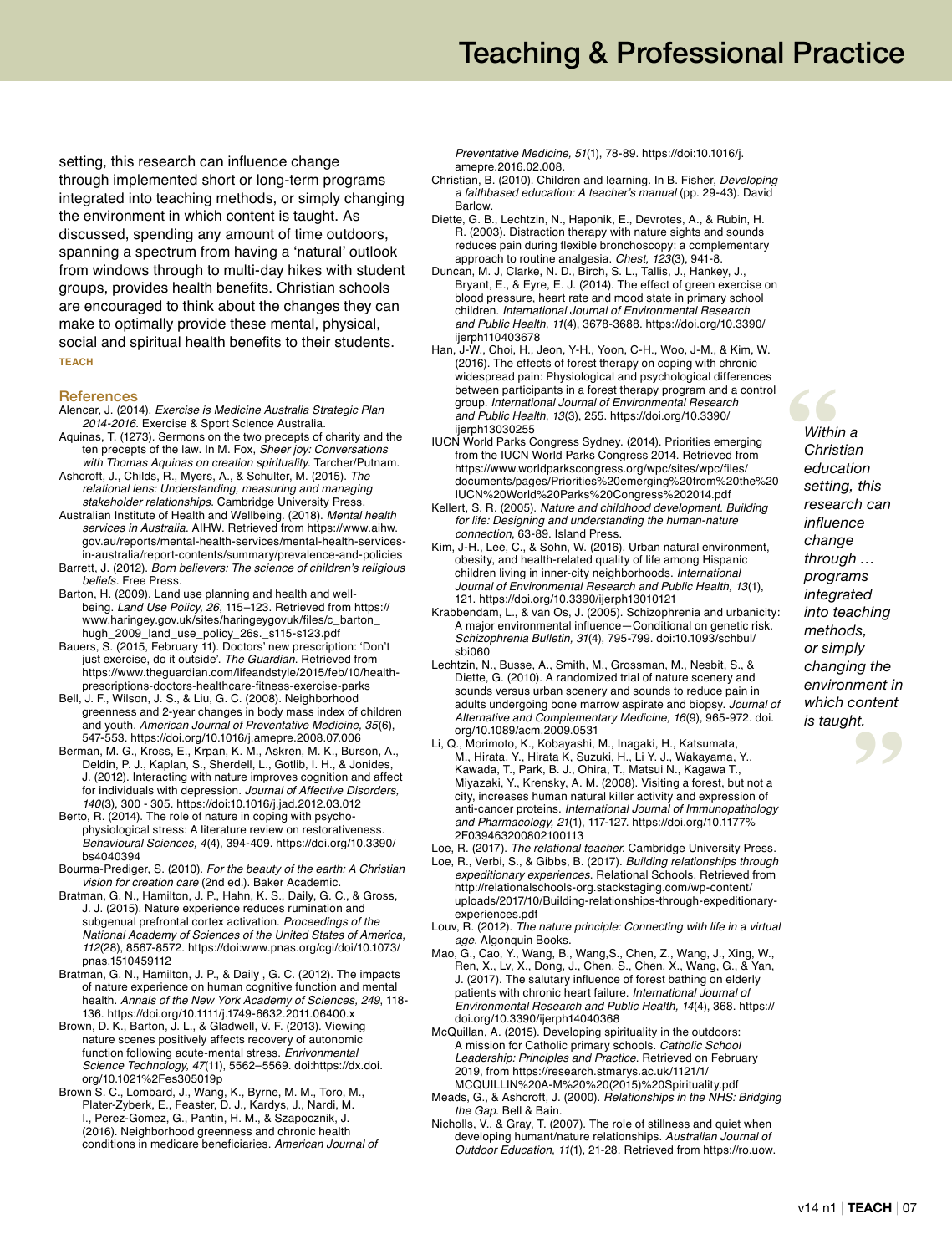setting, this research can influence change through implemented short or long-term programs integrated into teaching methods, or simply changing the environment in which content is taught. As discussed, spending any amount of time outdoors, spanning a spectrum from having a 'natural' outlook from windows through to multi-day hikes with student groups, provides health benefits. Christian schools are encouraged to think about the changes they can make to optimally provide these mental, physical, social and spiritual health benefits to their students. **TEACH**

#### **References**

- Alencar, J. (2014). *Exercise is Medicine Australia Strategic Plan 2014-2016*. Exercise & Sport Science Australia.
- Aquinas, T. (1273). Sermons on the two precepts of charity and the ten precepts of the law. In M. Fox, *Sheer joy: Conversations with Thomas Aquinas on creation spirituality*. Tarcher/Putnam.
- Ashcroft, J., Childs, R., Myers, A., & Schulter, M. (2015). *The relational lens: Understanding, measuring and managing stakeholder relationships*. Cambridge University Press.

Australian Institute of Health and Wellbeing. (2018). *Mental health services in Australia*. AIHW. Retrieved from https://www.aihw. gov.au/reports/mental-health-services/mental-health-servicesin-australia/report-contents/summary/prevalence-and-policies

- Barrett, J. (2012). Born believers: The science of children's religious *beliefs*. Free Press.
- Barton, H. (2009). Land use planning and health and wellbeing. *Land Use Policy, 26*, 115–123. Retrieved from https:// www.haringey.gov.uk/sites/haringeygovuk/files/c\_barton\_ hugh\_2009\_land\_use\_policy\_26s.\_s115-s123.pdf
- Bauers, S. (2015, February 11). Doctors' new prescription: 'Don't just exercise, do it outside'. *The Guardian*. Retrieved from https://www.theguardian.com/lifeandstyle/2015/feb/10/healthprescriptions-doctors-healthcare-fitness-exercise-parks
- Bell, J. F., Wilson, J. S., & Liu, G. C. (2008). Neighborhood greenness and 2-year changes in body mass index of children and youth. *American Journal of Preventative Medicine, 35*(6), 547-553. https://doi.org/10.1016/j.amepre.2008.07.006
- Berman, M. G., Kross, E., Krpan, K. M., Askren, M. K., Burson, A., Deldin, P. J., Kaplan, S., Sherdell, L., Gotlib, I. H., & Jonides, J. (2012). Interacting with nature improves cognition and affect for individuals with depression. *Journal of Affective Disorders, 140*(3), 300 - 305. https://doi:10.1016/j.jad.2012.03.012
- Berto, R. (2014). The role of nature in coping with psychophysiological stress: A literature review on restorativeness. *Behavioural Sciences, 4*(4), 394-409. https://doi.org/10.3390/ bs4040394
- Bourma-Prediger, S. (2010). *For the beauty of the earth: A Christian vision for creation care* (2nd ed.). Baker Academic.
- Bratman, G. N., Hamilton, J. P., Hahn, K. S., Daily, G. C., & Gross, J. J. (2015). Nature experience reduces rumination and subgenual prefrontal cortex activation. *Proceedings of the National Academy of Sciences of the United States of America, 112*(28), 8567-8572. https://doi:www.pnas.org/cgi/doi/10.1073/ pnas.1510459112
- Bratman, G. N., Hamilton, J. P., & Daily , G. C. (2012). The impacts of nature experience on human cognitive function and mental health. *Annals of the New York Academy of Sciences, 249*, 118- 136. https://doi.org/10.1111/j.1749-6632.2011.06400.x
- Brown, D. K., Barton, J. L., & Gladwell, V. F. (2013). Viewing nature scenes positively affects recovery of autonomic function following acute-mental stress. *Enrivonmental Science Technology, 47*(11), 5562–5569. doi:https://dx.doi. org/10.1021%2Fes305019p
- Brown S. C., Lombard, J., Wang, K., Byrne, M. M., Toro, M., Plater-Zyberk, E., Feaster, D. J., Kardys, J., Nardi, M. I., Perez-Gomez, G., Pantin, H. M., & Szapocznik, J. (2016). Neighborhood greenness and chronic health conditions in medicare beneficiaries. *American Journal of*

*Preventative Medicine, 51*(1), 78-89. https://doi:10.1016/j. amepre.2016.02.008.

- Christian, B. (2010). Children and learning. In B. Fisher, *Developing*  a faithbased education: A teacher's manual (pp. 29-43). David Barlow.
- Diette, G. B., Lechtzin, N., Haponik, E., Devrotes, A., & Rubin, H. R. (2003). Distraction therapy with nature sights and sounds reduces pain during flexible bronchoscopy: a complementary approach to routine analgesia. *Chest, 123*(3), 941-8.
- Duncan, M. J, Clarke, N. D., Birch, S. L., Tallis, J., Hankey, J., Bryant, E., & Eyre, E. J. (2014). The effect of green exercise on blood pressure, heart rate and mood state in primary school children. *International Journal of Environmental Research and Public Health, 11*(4), 3678-3688. https://doi.org/10.3390/ ijerph110403678
- Han, J-W., Choi, H., Jeon, Y-H., Yoon, C-H., Woo, J-M., & Kim, W. (2016). The effects of forest therapy on coping with chronic widespread pain: Physiological and psychological differences between participants in a forest therapy program and a control group. *International Journal of Environmental Research and Public Health, 13*(3), 255. https://doi.org/10.3390/ ijerph13030255
- IUCN World Parks Congress Sydney. (2014). Priorities emerging from the IUCN World Parks Congress 2014. Retrieved from https://www.worldparkscongress.org/wpc/sites/wpc/files/ documents/pages/Priorities%20emerging%20from%20the%20 IUCN%20World%20Parks%20Congress%202014.pdf
- Kellert, S. R. (2005). *Nature and childhood development. Building for life: Designing and understanding the human-nature connection*, 63-89. Island Press.
- Kim, J-H., Lee, C., & Sohn, W. (2016). Urban natural environment, obesity, and health-related quality of life among Hispanic children living in inner-city neighborhoods. *International Journal of Environmental Research and Public Health, 13*(1), 121. https://doi.org/10.3390/ijerph13010121
- Krabbendam, L., & van Os, J. (2005). Schizophrenia and urbanicity: A major environmental influence—Conditional on genetic risk. *Schizophrenia Bulletin, 31*(4), 795-799. doi:10.1093/schbul/ sbi060
- Lechtzin, N., Busse, A., Smith, M., Grossman, M., Nesbit, S., & Diette, G. (2010). A randomized trial of nature scenery and sounds versus urban scenery and sounds to reduce pain in adults undergoing bone marrow aspirate and biopsy. *Journal of Alternative and Complementary Medicine, 16*(9), 965-972. doi. org/10.1089/acm.2009.0531
- Li, Q., Morimoto, K., Kobayashi, M., Inagaki, H., Katsumata, M., Hirata, Y., Hirata K, Suzuki, H., Li Y. J., Wakayama, Y., Kawada, T., Park, B. J., Ohira, T., Matsui N., Kagawa T., Miyazaki, Y., Krensky, A. M. (2008). Visiting a forest, but not a city, increases human natural killer activity and expression of anti-cancer proteins. *International Journal of Immunopathology and Pharmacology, 21*(1), 117-127. https://doi.org/10.1177% 2F039463200802100113
- Loe, R. (2017). *The relational teacher*. Cambridge University Press.
- Loe, R., Verbi, S., & Gibbs, B. (2017). *Building relationships through expeditionary experiences*. Relational Schools. Retrieved from http://relationalschools-org.stackstaging.com/wp-content/ uploads/2017/10/Building-relationships-through-expeditionaryexperiences.pdf
- Louv, R. (2012). *The nature principle: Connecting with life in a virtual age*. Algonquin Books.
- Mao, G., Cao, Y., Wang, B., Wang,S., Chen, Z., Wang, J., Xing, W., Ren, X., Lv, X., Dong, J., Chen, S., Chen, X., Wang, G., & Yan, J. (2017). The salutary influence of forest bathing on elderly patients with chronic heart failure. *International Journal of Environmental Research and Public Health, 14*(4), 368. https:// doi.org/10.3390/ijerph14040368
- McQuillan, A. (2015). Developing spirituality in the outdoors: A mission for Catholic primary schools. *Catholic School Leadership: Principles and Practice*. Retrieved on February 2019, from https://research.stmarys.ac.uk/1121/1/ MCQUILLIN%20A-M%20%20(2015)%20Spirituality.pdf
- Meads, G., & Ashcroft, J. (2000). *Relationships in the NHS: Bridging the Gap*. Bell & Bain.
- Nicholls, V., & Gray, T. (2007). The role of stillness and quiet when developing humant/nature relationships. *Australian Journal of Outdoor Education, 11*(1), 21-28. Retrieved from https://ro.uow.

**Mithin**<br>
Christ<br>
educa *Within a Christian education setting, this research can influence change through … programs integrated into teaching methods, or simply changing the environment in which content is taught.*